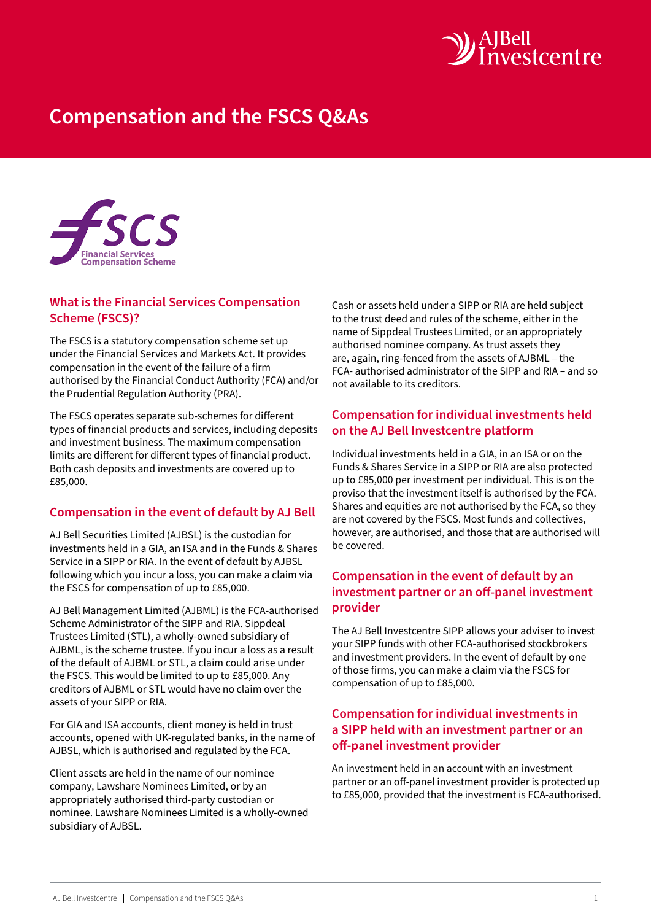

# **Compensation and the FSCS Q&As**



## **What is the Financial Services Compensation Scheme (FSCS)?**

The FSCS is a statutory compensation scheme set up under the Financial Services and Markets Act. It provides compensation in the event of the failure of a firm authorised by the Financial Conduct Authority (FCA) and/or the Prudential Regulation Authority (PRA).

The FSCS operates separate sub-schemes for different types of financial products and services, including deposits and investment business. The maximum compensation limits are different for different types of financial product. Both cash deposits and investments are covered up to £85,000.

## **Compensation in the event of default by AJ Bell**

AJ Bell Securities Limited (AJBSL) is the custodian for investments held in a GIA, an ISA and in the Funds & Shares Service in a SIPP or RIA. In the event of default by AJBSL following which you incur a loss, you can make a claim via the FSCS for compensation of up to £85,000.

AJ Bell Management Limited (AJBML) is the FCA-authorised Scheme Administrator of the SIPP and RIA. Sippdeal Trustees Limited (STL), a wholly-owned subsidiary of AJBML, is the scheme trustee. If you incur a loss as a result of the default of AJBML or STL, a claim could arise under the FSCS. This would be limited to up to £85,000. Any creditors of AJBML or STL would have no claim over the assets of your SIPP or RIA.

For GIA and ISA accounts, client money is held in trust accounts, opened with UK-regulated banks, in the name of AJBSL, which is authorised and regulated by the FCA.

Client assets are held in the name of our nominee company, Lawshare Nominees Limited, or by an appropriately authorised third-party custodian or nominee. Lawshare Nominees Limited is a wholly-owned subsidiary of AJBSL.

Cash or assets held under a SIPP or RIA are held subject to the trust deed and rules of the scheme, either in the name of Sippdeal Trustees Limited, or an appropriately authorised nominee company. As trust assets they are, again, ring-fenced from the assets of AJBML – the FCA- authorised administrator of the SIPP and RIA – and so not available to its creditors.

## **Compensation for individual investments held on the AJ Bell Investcentre platform**

Individual investments held in a GIA, in an ISA or on the Funds & Shares Service in a SIPP or RIA are also protected up to £85,000 per investment per individual. This is on the proviso that the investment itself is authorised by the FCA. Shares and equities are not authorised by the FCA, so they are not covered by the FSCS. Most funds and collectives, however, are authorised, and those that are authorised will be covered.

## **Compensation in the event of default by an investment partner or an off-panel investment provider**

The AJ Bell Investcentre SIPP allows your adviser to invest your SIPP funds with other FCA-authorised stockbrokers and investment providers. In the event of default by one of those firms, you can make a claim via the FSCS for compensation of up to £85,000.

## **Compensation for individual investments in a SIPP held with an investment partner or an off-panel investment provider**

An investment held in an account with an investment partner or an off-panel investment provider is protected up to £85,000, provided that the investment is FCA-authorised.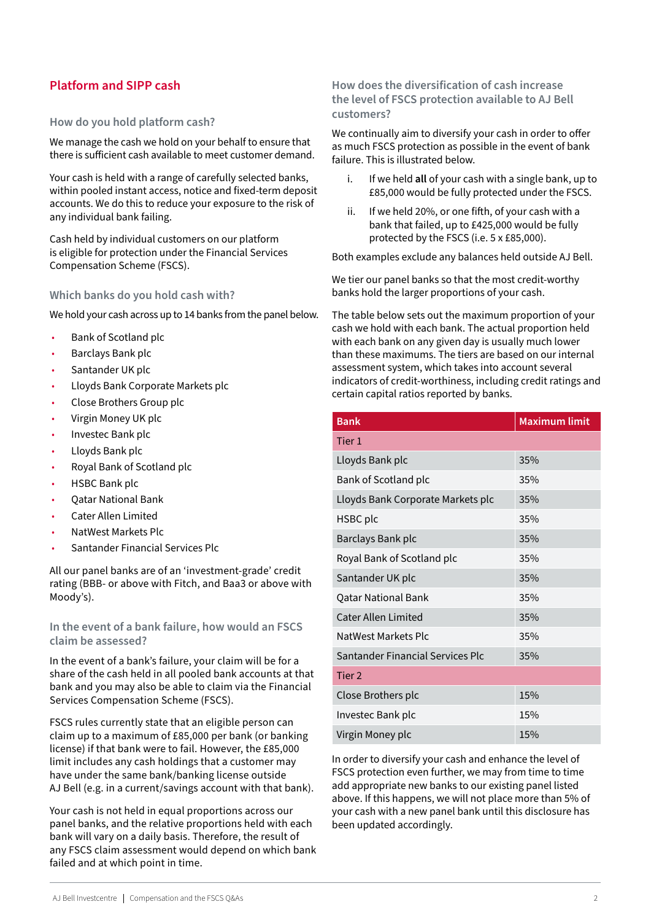## **Platform and SIPP cash**

#### **How do you hold platform cash?**

We manage the cash we hold on your behalf to ensure that there is sufficient cash available to meet customer demand.

Your cash is held with a range of carefully selected banks, within pooled instant access, notice and fixed-term deposit accounts. We do this to reduce your exposure to the risk of any individual bank failing.

Cash held by individual customers on our platform is eligible for protection under the Financial Services Compensation Scheme (FSCS).

#### **Which banks do you hold cash with?**

We hold your cash across up to 14 banks from the panel below.

- Bank of Scotland plc
- Barclays Bank plc
- Santander UK plc
- Lloyds Bank Corporate Markets plc
- Close Brothers Group plc
- Virgin Money UK plc
- Investec Bank plc
- Lloyds Bank plc
- Royal Bank of Scotland plc
- HSBC Bank plc
- Qatar National Bank
- Cater Allen Limited
- NatWest Markets Plc
- Santander Financial Services Plc

All our panel banks are of an 'investment-grade' credit rating (BBB- or above with Fitch, and Baa3 or above with Moody's).

**In the event of a bank failure, how would an FSCS claim be assessed?**

In the event of a bank's failure, your claim will be for a share of the cash held in all pooled bank accounts at that bank and you may also be able to claim via the Financial Services Compensation Scheme (FSCS).

FSCS rules currently state that an eligible person can claim up to a maximum of £85,000 per bank (or banking license) if that bank were to fail. However, the £85,000 limit includes any cash holdings that a customer may have under the same bank/banking license outside AJ Bell (e.g. in a current/savings account with that bank).

Your cash is not held in equal proportions across our panel banks, and the relative proportions held with each bank will vary on a daily basis. Therefore, the result of any FSCS claim assessment would depend on which bank failed and at which point in time.

#### **How does the diversification of cash increase the level of FSCS protection available to AJ Bell customers?**

We continually aim to diversify your cash in order to offer as much FSCS protection as possible in the event of bank failure. This is illustrated below.

- i. If we held **all** of your cash with a single bank, up to £85,000 would be fully protected under the FSCS.
- ii. If we held 20%, or one fifth, of your cash with a bank that failed, up to £425,000 would be fully protected by the FSCS (i.e. 5 x £85,000).

Both examples exclude any balances held outside AJ Bell.

We tier our panel banks so that the most credit-worthy banks hold the larger proportions of your cash.

The table below sets out the maximum proportion of your cash we hold with each bank. The actual proportion held with each bank on any given day is usually much lower than these maximums. The tiers are based on our internal assessment system, which takes into account several indicators of credit-worthiness, including credit ratings and certain capital ratios reported by banks.

| <b>Bank</b>                       | <b>Maximum limit</b> |
|-----------------------------------|----------------------|
| Tier 1                            |                      |
| Lloyds Bank plc                   | 35%                  |
| Bank of Scotland plc              | 35%                  |
| Lloyds Bank Corporate Markets plc | 35%                  |
| HSBC plc                          | 35%                  |
| Barclays Bank plc                 | 35%                  |
| Royal Bank of Scotland plc        | 35%                  |
| Santander UK plc                  | 35%                  |
| <b>Qatar National Bank</b>        | 35%                  |
| <b>Cater Allen Limited</b>        | 35%                  |
| NatWest Markets Plc               | 35%                  |
| Santander Financial Services Plc  | 35%                  |
| Tier <sub>2</sub>                 |                      |
| Close Brothers plc                | 15%                  |
| Investec Bank plc                 | 15%                  |
| Virgin Money plc                  | 15%                  |

In order to diversify your cash and enhance the level of FSCS protection even further, we may from time to time add appropriate new banks to our existing panel listed above. If this happens, we will not place more than 5% of your cash with a new panel bank until this disclosure has been updated accordingly.